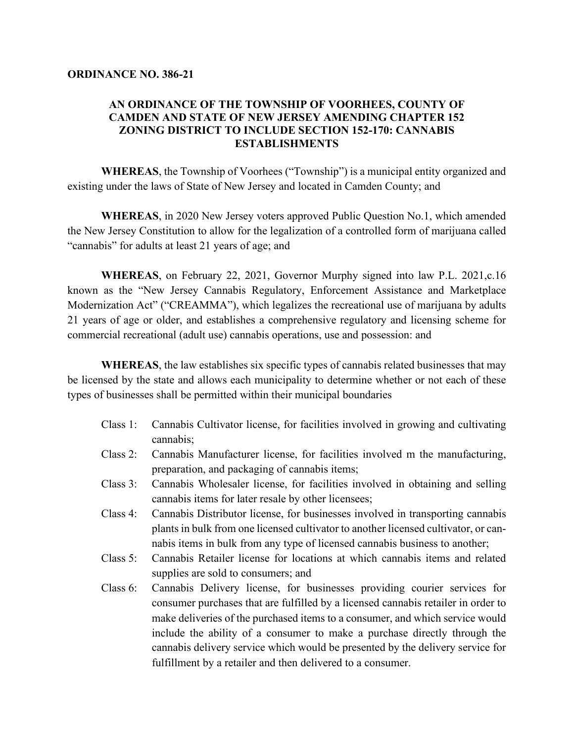## **AN ORDINANCE OF THE TOWNSHIP OF VOORHEES, COUNTY OF CAMDEN AND STATE OF NEW JERSEY AMENDING CHAPTER 152 ZONING DISTRICT TO INCLUDE SECTION 152-170: CANNABIS ESTABLISHMENTS**

**WHEREAS**, the Township of Voorhees ("Township") is a municipal entity organized and existing under the laws of State of New Jersey and located in Camden County; and

**WHEREAS**, in 2020 New Jersey voters approved Public Question No.1, which amended the New Jersey Constitution to allow for the legalization of a controlled form of marijuana called "cannabis" for adults at least 21 years of age; and

**WHEREAS**, on February 22, 2021, Governor Murphy signed into law P.L. 2021,c.16 known as the "New Jersey Cannabis Regulatory, Enforcement Assistance and Marketplace Modernization Act" ("CREAMMA"), which legalizes the recreational use of marijuana by adults 21 years of age or older, and establishes a comprehensive regulatory and licensing scheme for commercial recreational (adult use) cannabis operations, use and possession: and

**WHEREAS**, the law establishes six specific types of cannabis related businesses that may be licensed by the state and allows each municipality to determine whether or not each of these types of businesses shall be permitted within their municipal boundaries

- Class 1: Cannabis Cultivator license, for facilities involved in growing and cultivating cannabis;
- Class 2: Cannabis Manufacturer license, for facilities involved m the manufacturing, preparation, and packaging of cannabis items;
- Class 3: Cannabis Wholesaler license, for facilities involved in obtaining and selling cannabis items for later resale by other licensees;
- Class 4: Cannabis Distributor license, for businesses involved in transporting cannabis plants in bulk from one licensed cultivator to another licensed cultivator, or cannabis items in bulk from any type of licensed cannabis business to another;
- Class 5: Cannabis Retailer license for locations at which cannabis items and related supplies are sold to consumers; and
- Class 6: Cannabis Delivery license, for businesses providing courier services for consumer purchases that are fulfilled by a licensed cannabis retailer in order to make deliveries of the purchased items to a consumer, and which service would include the ability of a consumer to make a purchase directly through the cannabis delivery service which would be presented by the delivery service for fulfillment by a retailer and then delivered to a consumer.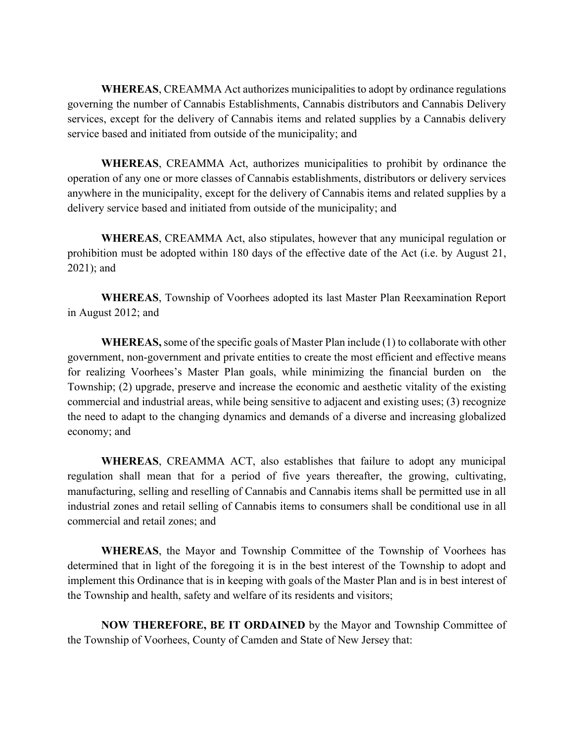**WHEREAS**, CREAMMA Act authorizes municipalities to adopt by ordinance regulations governing the number of Cannabis Establishments, Cannabis distributors and Cannabis Delivery services, except for the delivery of Cannabis items and related supplies by a Cannabis delivery service based and initiated from outside of the municipality; and

**WHEREAS**, CREAMMA Act, authorizes municipalities to prohibit by ordinance the operation of any one or more classes of Cannabis establishments, distributors or delivery services anywhere in the municipality, except for the delivery of Cannabis items and related supplies by a delivery service based and initiated from outside of the municipality; and

**WHEREAS**, CREAMMA Act, also stipulates, however that any municipal regulation or prohibition must be adopted within 180 days of the effective date of the Act (i.e. by August 21, 2021); and

**WHEREAS**, Township of Voorhees adopted its last Master Plan Reexamination Report in August 2012; and

**WHEREAS,**some of the specific goals of Master Plan include (1) to collaborate with other government, non-government and private entities to create the most efficient and effective means for realizing Voorhees's Master Plan goals, while minimizing the financial burden on the Township; (2) upgrade, preserve and increase the economic and aesthetic vitality of the existing commercial and industrial areas, while being sensitive to adjacent and existing uses; (3) recognize the need to adapt to the changing dynamics and demands of a diverse and increasing globalized economy; and

**WHEREAS**, CREAMMA ACT, also establishes that failure to adopt any municipal regulation shall mean that for a period of five years thereafter, the growing, cultivating, manufacturing, selling and reselling of Cannabis and Cannabis items shall be permitted use in all industrial zones and retail selling of Cannabis items to consumers shall be conditional use in all commercial and retail zones; and

**WHEREAS**, the Mayor and Township Committee of the Township of Voorhees has determined that in light of the foregoing it is in the best interest of the Township to adopt and implement this Ordinance that is in keeping with goals of the Master Plan and is in best interest of the Township and health, safety and welfare of its residents and visitors;

**NOW THEREFORE, BE IT ORDAINED** by the Mayor and Township Committee of the Township of Voorhees, County of Camden and State of New Jersey that: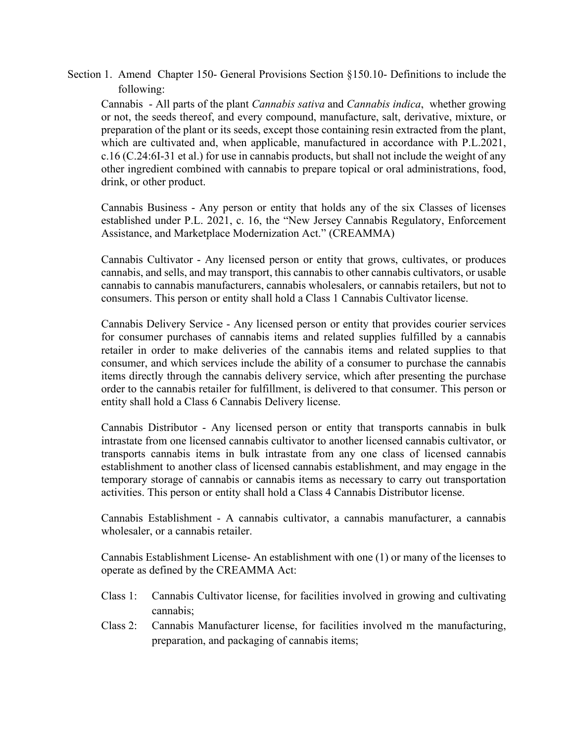Section 1. Amend Chapter 150- General Provisions Section §150.10- Definitions to include the following:

Cannabis - All parts of the plant *Cannabis sativa* and *Cannabis indica*, whether growing or not, the seeds thereof, and every compound, manufacture, salt, derivative, mixture, or preparation of the plant or its seeds, except those containing resin extracted from the plant, which are cultivated and, when applicable, manufactured in accordance with P.L.2021, c.16 (C.24:6I-31 et al.) for use in cannabis products, but shall not include the weight of any other ingredient combined with cannabis to prepare topical or oral administrations, food, drink, or other product.

Cannabis Business - Any person or entity that holds any of the six Classes of licenses established under P.L. 2021, c. 16, the "New Jersey Cannabis Regulatory, Enforcement Assistance, and Marketplace Modernization Act." (CREAMMA)

Cannabis Cultivator - Any licensed person or entity that grows, cultivates, or produces cannabis, and sells, and may transport, this cannabis to other cannabis cultivators, or usable cannabis to cannabis manufacturers, cannabis wholesalers, or cannabis retailers, but not to consumers. This person or entity shall hold a Class 1 Cannabis Cultivator license.

Cannabis Delivery Service - Any licensed person or entity that provides courier services for consumer purchases of cannabis items and related supplies fulfilled by a cannabis retailer in order to make deliveries of the cannabis items and related supplies to that consumer, and which services include the ability of a consumer to purchase the cannabis items directly through the cannabis delivery service, which after presenting the purchase order to the cannabis retailer for fulfillment, is delivered to that consumer. This person or entity shall hold a Class 6 Cannabis Delivery license.

Cannabis Distributor - Any licensed person or entity that transports cannabis in bulk intrastate from one licensed cannabis cultivator to another licensed cannabis cultivator, or transports cannabis items in bulk intrastate from any one class of licensed cannabis establishment to another class of licensed cannabis establishment, and may engage in the temporary storage of cannabis or cannabis items as necessary to carry out transportation activities. This person or entity shall hold a Class 4 Cannabis Distributor license.

Cannabis Establishment - A cannabis cultivator, a cannabis manufacturer, a cannabis wholesaler, or a cannabis retailer.

Cannabis Establishment License- An establishment with one (1) or many of the licenses to operate as defined by the CREAMMA Act:

- Class 1: Cannabis Cultivator license, for facilities involved in growing and cultivating cannabis;
- Class 2: Cannabis Manufacturer license, for facilities involved m the manufacturing, preparation, and packaging of cannabis items;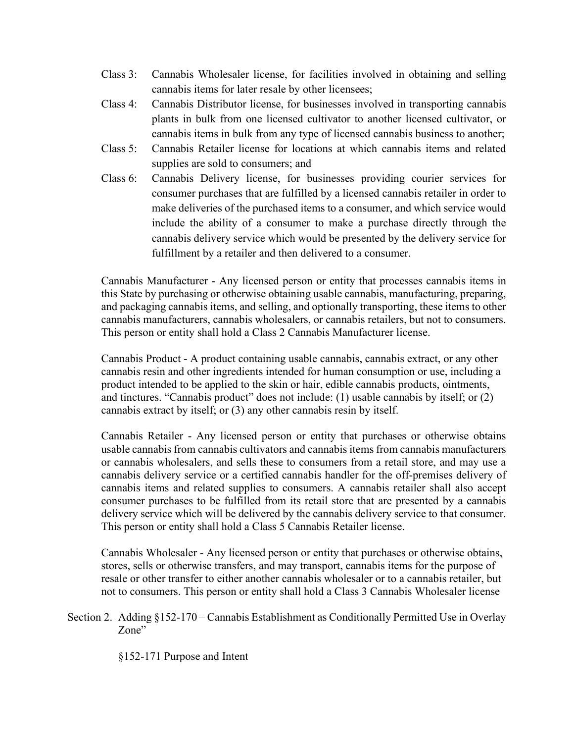- Class 3: Cannabis Wholesaler license, for facilities involved in obtaining and selling cannabis items for later resale by other licensees;
- Class 4: Cannabis Distributor license, for businesses involved in transporting cannabis plants in bulk from one licensed cultivator to another licensed cultivator, or cannabis items in bulk from any type of licensed cannabis business to another;
- Class 5: Cannabis Retailer license for locations at which cannabis items and related supplies are sold to consumers; and
- Class 6: Cannabis Delivery license, for businesses providing courier services for consumer purchases that are fulfilled by a licensed cannabis retailer in order to make deliveries of the purchased items to a consumer, and which service would include the ability of a consumer to make a purchase directly through the cannabis delivery service which would be presented by the delivery service for fulfillment by a retailer and then delivered to a consumer.

Cannabis Manufacturer - Any licensed person or entity that processes cannabis items in this State by purchasing or otherwise obtaining usable cannabis, manufacturing, preparing, and packaging cannabis items, and selling, and optionally transporting, these items to other cannabis manufacturers, cannabis wholesalers, or cannabis retailers, but not to consumers. This person or entity shall hold a Class 2 Cannabis Manufacturer license.

Cannabis Product - A product containing usable cannabis, cannabis extract, or any other cannabis resin and other ingredients intended for human consumption or use, including a product intended to be applied to the skin or hair, edible cannabis products, ointments, and tinctures. "Cannabis product" does not include: (1) usable cannabis by itself; or (2) cannabis extract by itself; or (3) any other cannabis resin by itself.

Cannabis Retailer - Any licensed person or entity that purchases or otherwise obtains usable cannabis from cannabis cultivators and cannabis items from cannabis manufacturers or cannabis wholesalers, and sells these to consumers from a retail store, and may use a cannabis delivery service or a certified cannabis handler for the off-premises delivery of cannabis items and related supplies to consumers. A cannabis retailer shall also accept consumer purchases to be fulfilled from its retail store that are presented by a cannabis delivery service which will be delivered by the cannabis delivery service to that consumer. This person or entity shall hold a Class 5 Cannabis Retailer license.

Cannabis Wholesaler - Any licensed person or entity that purchases or otherwise obtains, stores, sells or otherwise transfers, and may transport, cannabis items for the purpose of resale or other transfer to either another cannabis wholesaler or to a cannabis retailer, but not to consumers. This person or entity shall hold a Class 3 Cannabis Wholesaler license

Section 2. Adding §152-170 – Cannabis Establishment as Conditionally Permitted Use in Overlay Zone"

§152-171 Purpose and Intent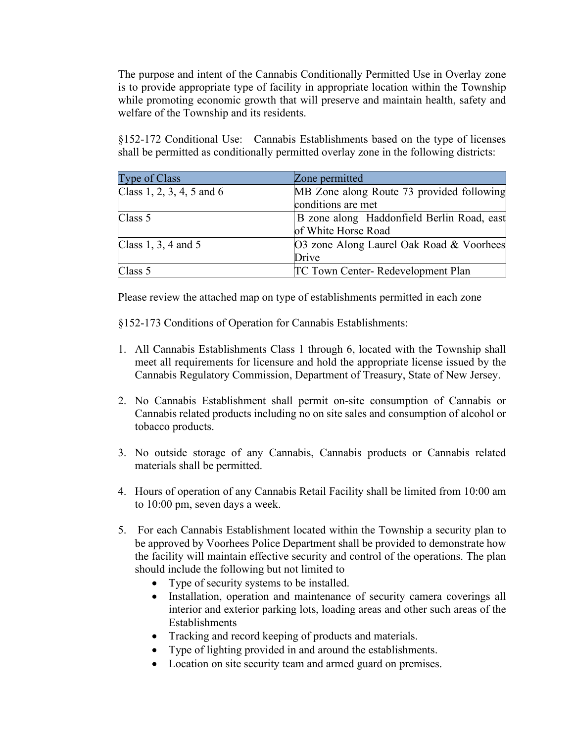The purpose and intent of the Cannabis Conditionally Permitted Use in Overlay zone is to provide appropriate type of facility in appropriate location within the Township while promoting economic growth that will preserve and maintain health, safety and welfare of the Township and its residents.

§152-172 Conditional Use: Cannabis Establishments based on the type of licenses shall be permitted as conditionally permitted overlay zone in the following districts:

| Type of Class             | Zone permitted                             |
|---------------------------|--------------------------------------------|
| Class 1, 2, 3, 4, 5 and 6 | MB Zone along Route 73 provided following  |
|                           | conditions are met                         |
| Class 5                   | B zone along Haddonfield Berlin Road, east |
|                           | of White Horse Road                        |
| Class $1, 3, 4$ and $5$   | O3 zone Along Laurel Oak Road & Voorhees   |
|                           | Drive                                      |
| Class 5                   | TC Town Center-Redevelopment Plan          |

Please review the attached map on type of establishments permitted in each zone

§152-173 Conditions of Operation for Cannabis Establishments:

- 1. All Cannabis Establishments Class 1 through 6, located with the Township shall meet all requirements for licensure and hold the appropriate license issued by the Cannabis Regulatory Commission, Department of Treasury, State of New Jersey.
- 2. No Cannabis Establishment shall permit on-site consumption of Cannabis or Cannabis related products including no on site sales and consumption of alcohol or tobacco products.
- 3. No outside storage of any Cannabis, Cannabis products or Cannabis related materials shall be permitted.
- 4. Hours of operation of any Cannabis Retail Facility shall be limited from 10:00 am to 10:00 pm, seven days a week.
- 5. For each Cannabis Establishment located within the Township a security plan to be approved by Voorhees Police Department shall be provided to demonstrate how the facility will maintain effective security and control of the operations. The plan should include the following but not limited to
	- Type of security systems to be installed.
	- Installation, operation and maintenance of security camera coverings all interior and exterior parking lots, loading areas and other such areas of the Establishments
	- Tracking and record keeping of products and materials.
	- Type of lighting provided in and around the establishments.
	- Location on site security team and armed guard on premises.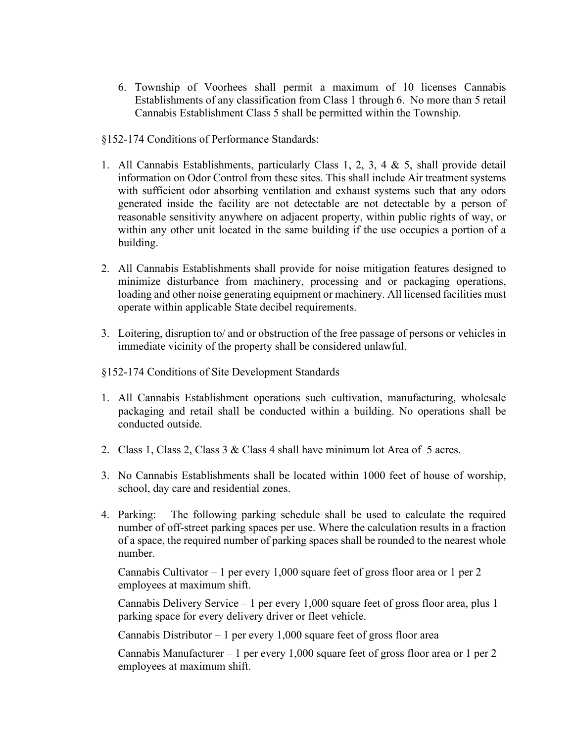- 6. Township of Voorhees shall permit a maximum of 10 licenses Cannabis Establishments of any classification from Class 1 through 6. No more than 5 retail Cannabis Establishment Class 5 shall be permitted within the Township.
- §152-174 Conditions of Performance Standards:
- 1. All Cannabis Establishments, particularly Class 1, 2, 3, 4 & 5, shall provide detail information on Odor Control from these sites. This shall include Air treatment systems with sufficient odor absorbing ventilation and exhaust systems such that any odors generated inside the facility are not detectable are not detectable by a person of reasonable sensitivity anywhere on adjacent property, within public rights of way, or within any other unit located in the same building if the use occupies a portion of a building.
- 2. All Cannabis Establishments shall provide for noise mitigation features designed to minimize disturbance from machinery, processing and or packaging operations, loading and other noise generating equipment or machinery. All licensed facilities must operate within applicable State decibel requirements.
- 3. Loitering, disruption to/ and or obstruction of the free passage of persons or vehicles in immediate vicinity of the property shall be considered unlawful.
- §152-174 Conditions of Site Development Standards
- 1. All Cannabis Establishment operations such cultivation, manufacturing, wholesale packaging and retail shall be conducted within a building. No operations shall be conducted outside.
- 2. Class 1, Class 2, Class 3 & Class 4 shall have minimum lot Area of 5 acres.
- 3. No Cannabis Establishments shall be located within 1000 feet of house of worship, school, day care and residential zones.
- 4. Parking: The following parking schedule shall be used to calculate the required number of off-street parking spaces per use. Where the calculation results in a fraction of a space, the required number of parking spaces shall be rounded to the nearest whole number.

Cannabis Cultivator – 1 per every 1,000 square feet of gross floor area or 1 per 2 employees at maximum shift.

Cannabis Delivery Service – 1 per every 1,000 square feet of gross floor area, plus 1 parking space for every delivery driver or fleet vehicle.

Cannabis Distributor  $-1$  per every 1,000 square feet of gross floor area

Cannabis Manufacturer – 1 per every 1,000 square feet of gross floor area or 1 per 2 employees at maximum shift.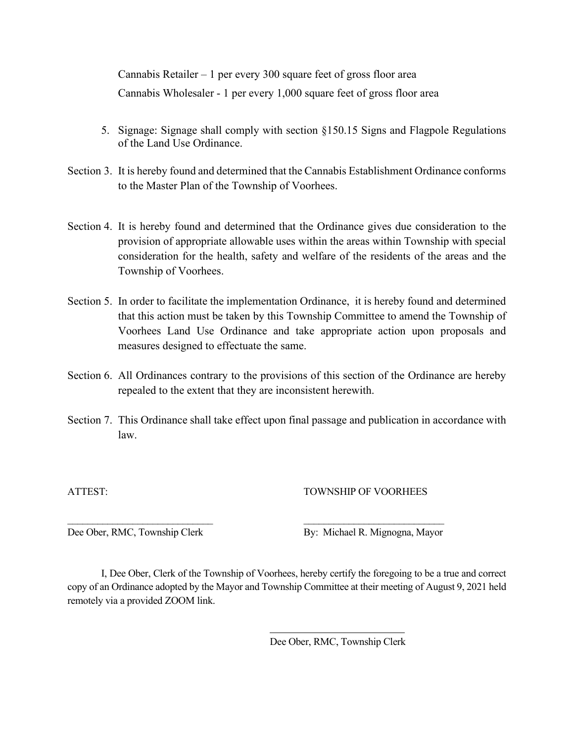Cannabis Retailer  $-1$  per every 300 square feet of gross floor area Cannabis Wholesaler - 1 per every 1,000 square feet of gross floor area

- 5. Signage: Signage shall comply with section §150.15 Signs and Flagpole Regulations of the Land Use Ordinance.
- Section 3. It is hereby found and determined that the Cannabis Establishment Ordinance conforms to the Master Plan of the Township of Voorhees.
- Section 4. It is hereby found and determined that the Ordinance gives due consideration to the provision of appropriate allowable uses within the areas within Township with special consideration for the health, safety and welfare of the residents of the areas and the Township of Voorhees.
- Section 5. In order to facilitate the implementation Ordinance, it is hereby found and determined that this action must be taken by this Township Committee to amend the Township of Voorhees Land Use Ordinance and take appropriate action upon proposals and measures designed to effectuate the same.
- Section 6. All Ordinances contrary to the provisions of this section of the Ordinance are hereby repealed to the extent that they are inconsistent herewith.
- Section 7. This Ordinance shall take effect upon final passage and publication in accordance with law.

ATTEST: TOWNSHIP OF VOORHEES

Dee Ober, RMC, Township Clerk By: Michael R. Mignogna, Mayor

I, Dee Ober, Clerk of the Township of Voorhees, hereby certify the foregoing to be a true and correct copy of an Ordinance adopted by the Mayor and Township Committee at their meeting of August 9, 2021 held remotely via a provided ZOOM link.

\_\_\_\_\_\_\_\_\_\_\_\_\_\_\_\_\_\_\_\_\_\_\_\_\_\_\_\_\_ \_\_\_\_\_\_\_\_\_\_\_\_\_\_\_\_\_\_\_\_\_\_\_\_\_\_\_\_

Dee Ober, RMC, Township Clerk